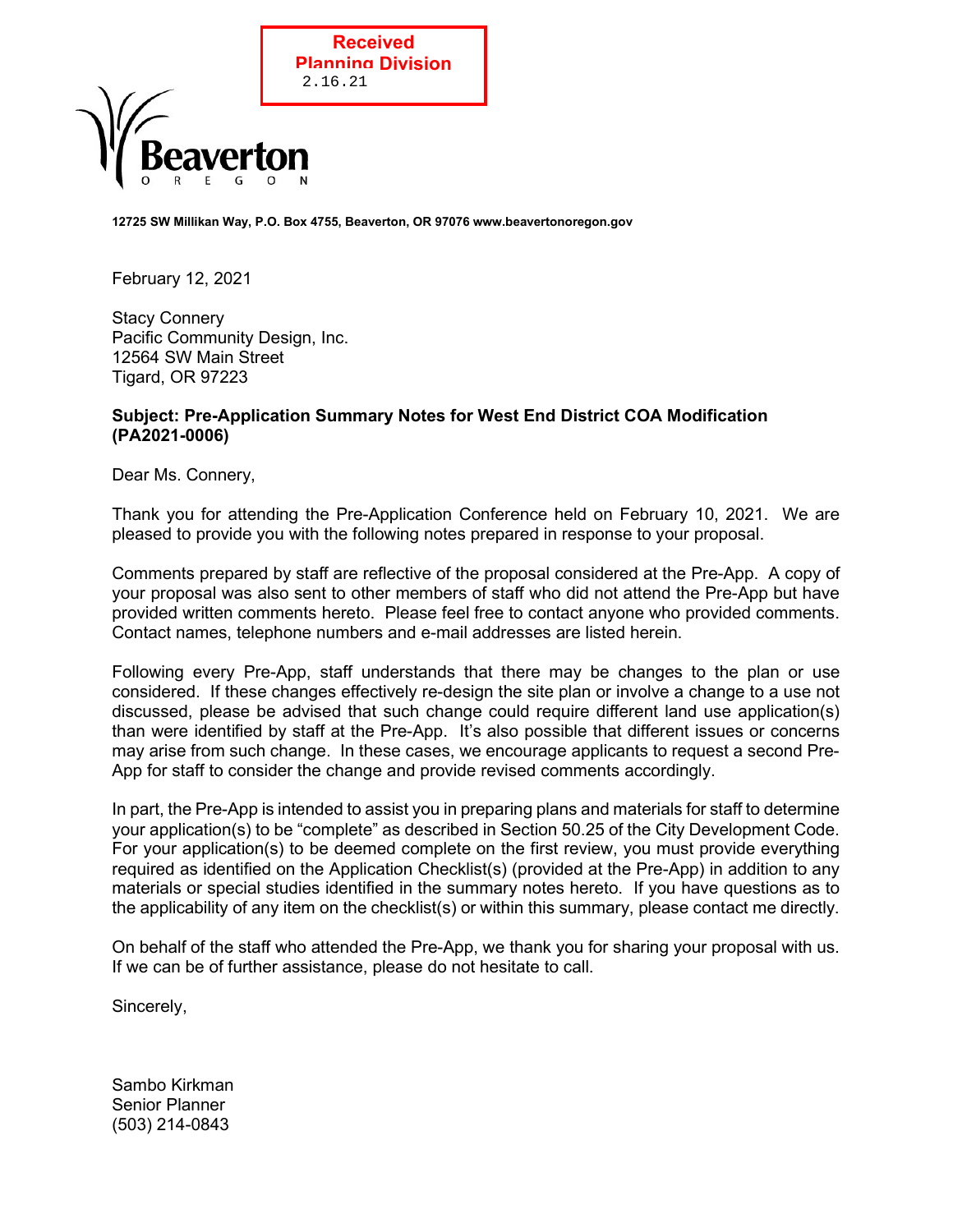

12725 SW Millikan Way, P.O. Box 4755, Beaverton, OR 97076 www.beavertonoregon.gov

February 12, 2021

 Stacy Connery Pacific Community Design, Inc. 12564 SW Main Street Tigard, OR 97223

#### Subject: Pre-Application Summary Notes for West End District COA Modification (PA2021-0006)

Dear Ms. Connery,

Thank you for attending the Pre-Application Conference held on February 10, 2021. We are pleased to provide you with the following notes prepared in response to your proposal.

Comments prepared by staff are reflective of the proposal considered at the Pre-App. A copy of your proposal was also sent to other members of staff who did not attend the Pre-App but have provided written comments hereto. Please feel free to contact anyone who provided comments. Contact names, telephone numbers and e-mail addresses are listed herein.

Following every Pre-App, staff understands that there may be changes to the plan or use considered. If these changes effectively re-design the site plan or involve a change to a use not discussed, please be advised that such change could require different land use application(s) than were identified by staff at the Pre-App. It's also possible that different issues or concerns may arise from such change. In these cases, we encourage applicants to request a second Pre-App for staff to consider the change and provide revised comments accordingly.

In part, the Pre-App is intended to assist you in preparing plans and materials for staff to determine your application(s) to be "complete" as described in Section 50.25 of the City Development Code. For your application(s) to be deemed complete on the first review, you must provide everything required as identified on the Application Checklist(s) (provided at the Pre-App) in addition to any materials or special studies identified in the summary notes hereto. If you have questions as to the applicability of any item on the checklist(s) or within this summary, please contact me directly.

On behalf of the staff who attended the Pre-App, we thank you for sharing your proposal with us. If we can be of further assistance, please do not hesitate to call.

Sincerely,

Sambo Kirkman Senior Planner (503) 214-0843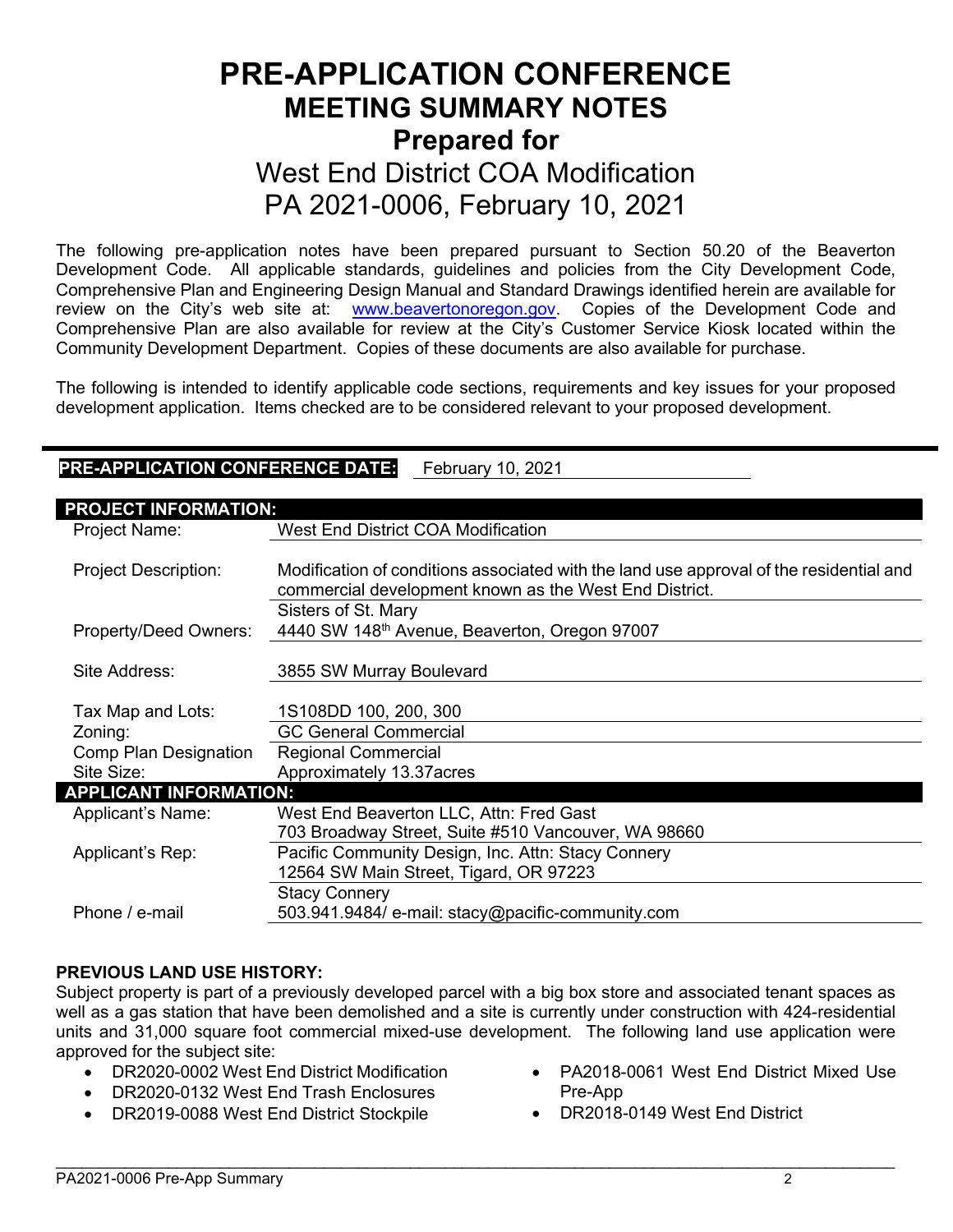# PRE-APPLICATION CONFERENCE MEETING SUMMARY NOTES Prepared for West End District COA Modification PA 2021-0006, February 10, 2021

The following pre-application notes have been prepared pursuant to Section 50.20 of the Beaverton Development Code. All applicable standards, guidelines and policies from the City Development Code, Comprehensive Plan and Engineering Design Manual and Standard Drawings identified herein are available for review on the City's web site at: www.beavertonoregon.gov. Copies of the Development Code and Comprehensive Plan are also available for review at the City's Customer Service Kiosk located within the Community Development Department. Copies of these documents are also available for purchase.

The following is intended to identify applicable code sections, requirements and key issues for your proposed development application. Items checked are to be considered relevant to your proposed development.

## PRE-APPLICATION CONFERENCE DATE: February 10, 2021

| <b>PROJECT INFORMATION:</b>   |                                                                                         |
|-------------------------------|-----------------------------------------------------------------------------------------|
| Project Name:                 | West End District COA Modification                                                      |
|                               |                                                                                         |
| <b>Project Description:</b>   | Modification of conditions associated with the land use approval of the residential and |
|                               | commercial development known as the West End District.                                  |
|                               | Sisters of St. Mary                                                                     |
| Property/Deed Owners:         | 4440 SW 148 <sup>th</sup> Avenue, Beaverton, Oregon 97007                               |
|                               |                                                                                         |
| Site Address:                 | 3855 SW Murray Boulevard                                                                |
|                               |                                                                                         |
| Tax Map and Lots:             | 1S108DD 100, 200, 300                                                                   |
| Zoning:                       | <b>GC General Commercial</b>                                                            |
| <b>Comp Plan Designation</b>  | <b>Regional Commercial</b>                                                              |
| Site Size:                    | Approximately 13.37acres                                                                |
| <b>APPLICANT INFORMATION:</b> |                                                                                         |
| Applicant's Name:             | West End Beaverton LLC, Attn: Fred Gast                                                 |
|                               | 703 Broadway Street, Suite #510 Vancouver, WA 98660                                     |
| Applicant's Rep:              | Pacific Community Design, Inc. Attn: Stacy Connery                                      |
|                               | 12564 SW Main Street, Tigard, OR 97223                                                  |
|                               | <b>Stacy Connery</b>                                                                    |
| Phone / e-mail                | 503.941.9484/ e-mail: stacy@pacific-community.com                                       |

#### PREVIOUS LAND USE HISTORY:

Subject property is part of a previously developed parcel with a big box store and associated tenant spaces as well as a gas station that have been demolished and a site is currently under construction with 424-residential units and 31,000 square foot commercial mixed-use development. The following land use application were approved for the subject site:

- DR2020-0002 West End District Modification
- DR2020-0132 West End Trash Enclosures
- DR2019-0088 West End District Stockpile
- PA2018-0061 West End District Mixed Use Pre-App
- DR2018-0149 West End District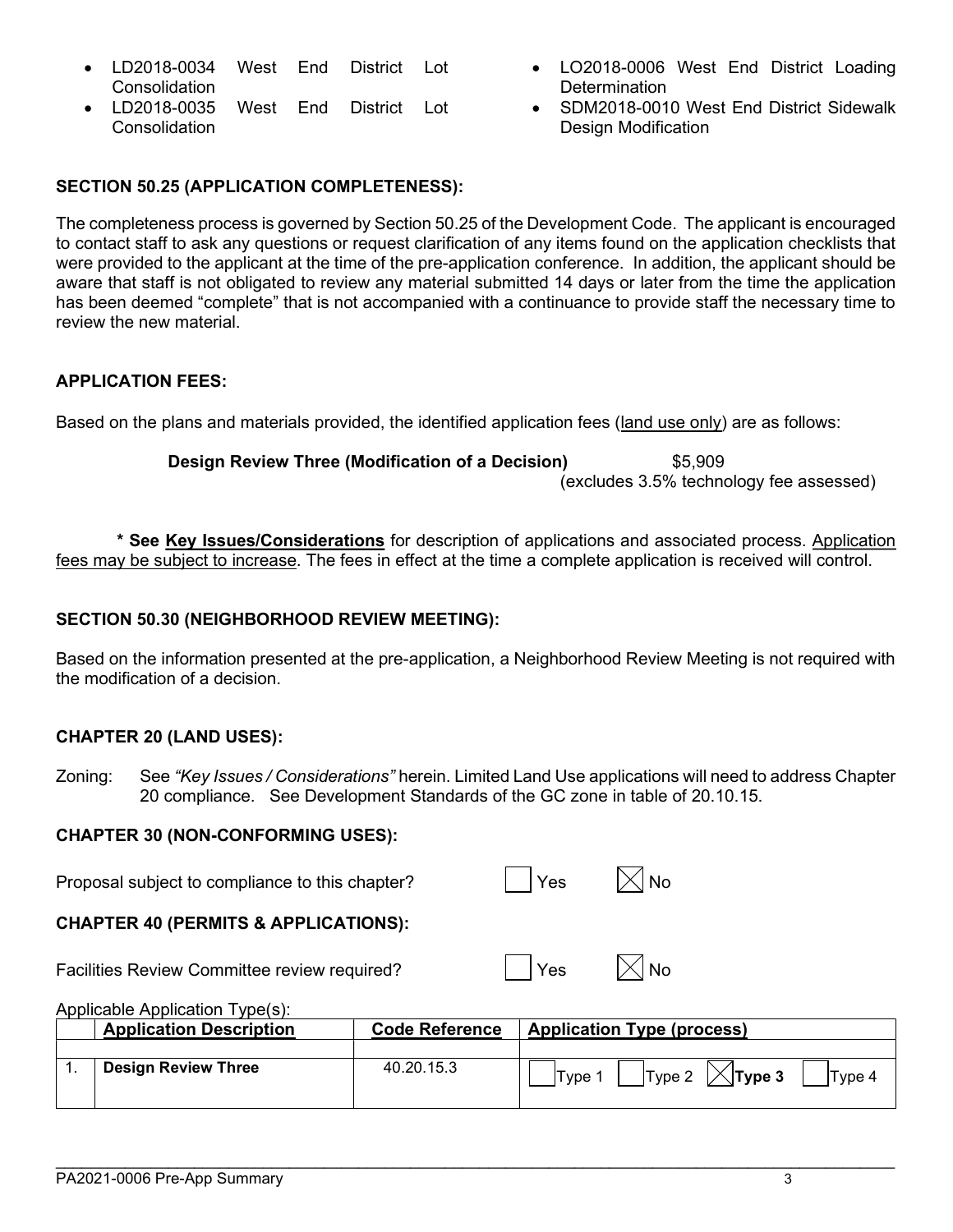- LD2018-0035 West End District Lot **Consolidation**
- LO2018-0006 West End District Loading **Determination**
- SDM2018-0010 West End District Sidewalk Design Modification

## SECTION 50.25 (APPLICATION COMPLETENESS):

The completeness process is governed by Section 50.25 of the Development Code. The applicant is encouraged to contact staff to ask any questions or request clarification of any items found on the application checklists that were provided to the applicant at the time of the pre-application conference. In addition, the applicant should be aware that staff is not obligated to review any material submitted 14 days or later from the time the application has been deemed "complete" that is not accompanied with a continuance to provide staff the necessary time to review the new material

## APPLICATION FEES:

Based on the plans and materials provided, the identified application fees (land use only) are as follows:

Design Review Three (Modification of a Decision) \$5,909 (excludes 3.5% technology fee assessed)

 \* See Key Issues/Considerations for description of applications and associated process. Application fees may be subject to increase. The fees in effect at the time a complete application is received will control.

### SECTION 50.30 (NEIGHBORHOOD REVIEW MEETING):

Based on the information presented at the pre-application, a Neighborhood Review Meeting is not required with the modification of a decision.

## CHAPTER 20 (LAND USES):

Zoning: See "Key Issues / Considerations" herein. Limited Land Use applications will need to address Chapter 20 compliance. See Development Standards of the GC zone in table of 20.10.15.

#### CHAPTER 30 (NON-CONFORMING USES):

| Proposal subject to compliance to this chapter? | $\vert$ $\vert$ Yes | $\boxtimes$ No |
|-------------------------------------------------|---------------------|----------------|
|                                                 |                     |                |

# CHAPTER 40 (PERMITS & APPLICATIONS):

Facilities Review Committee review required?  $\vert \rangle$  Yes  $\vert \times \vert$  No

| ٧<br>-- | Ŋ<br>╲ |
|---------|--------|
|         |        |

Applicable Application Type(s):

| <b>Application Description</b> | <b>Code Reference</b> | <b>Application Type (process)</b>                |
|--------------------------------|-----------------------|--------------------------------------------------|
| <b>Design Review Three</b>     | 40.20.15.3            | Type 2 $\vert\angle$ Type 3<br> Type 4<br>Tvpe 1 |

 $\mathcal{L}_\mathcal{L} = \mathcal{L}_\mathcal{L} = \mathcal{L}_\mathcal{L} = \mathcal{L}_\mathcal{L} = \mathcal{L}_\mathcal{L} = \mathcal{L}_\mathcal{L} = \mathcal{L}_\mathcal{L} = \mathcal{L}_\mathcal{L} = \mathcal{L}_\mathcal{L} = \mathcal{L}_\mathcal{L} = \mathcal{L}_\mathcal{L} = \mathcal{L}_\mathcal{L} = \mathcal{L}_\mathcal{L} = \mathcal{L}_\mathcal{L} = \mathcal{L}_\mathcal{L} = \mathcal{L}_\mathcal{L} = \mathcal{L}_\mathcal{L}$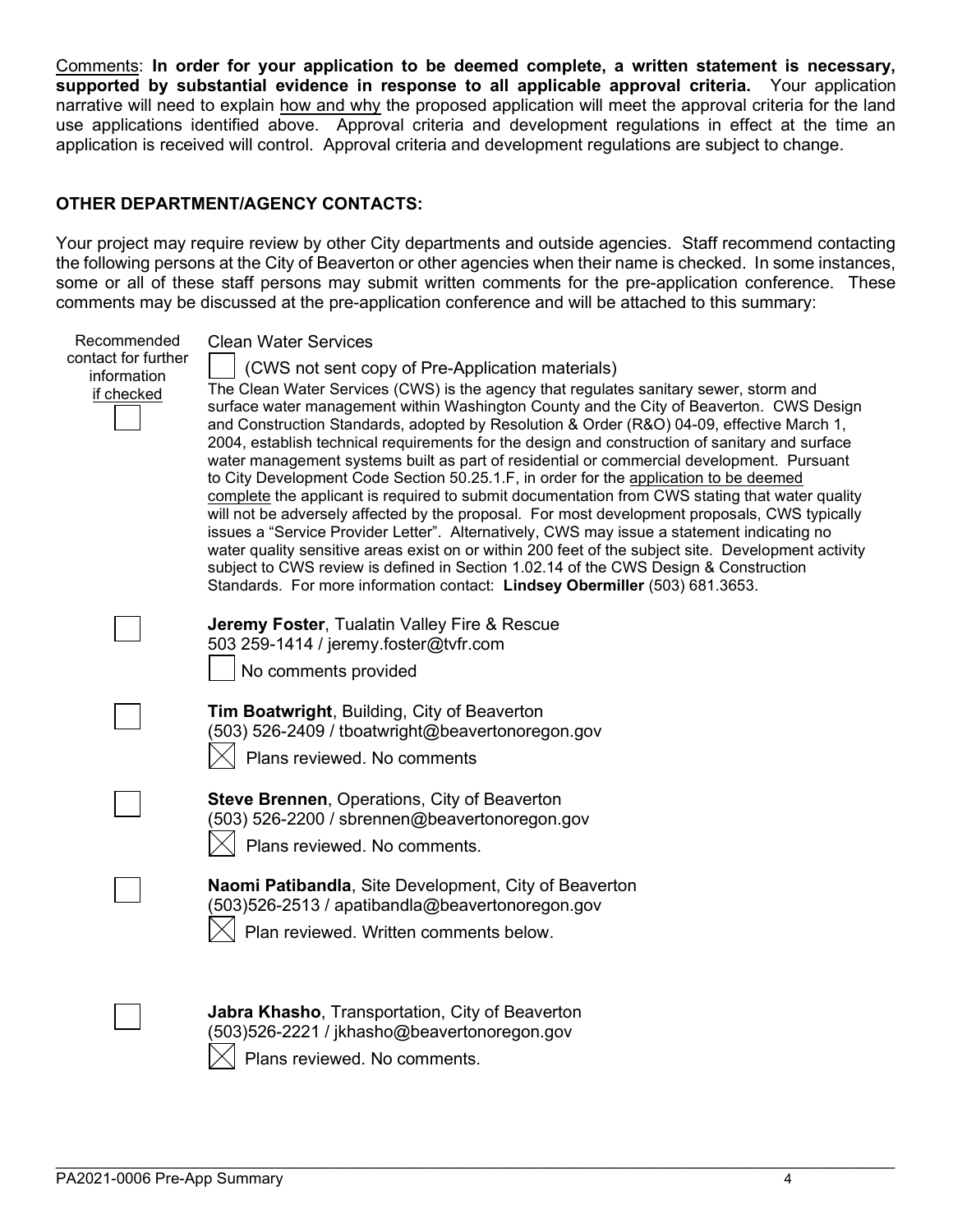Comments: In order for your application to be deemed complete, a written statement is necessary, supported by substantial evidence in response to all applicable approval criteria. Your application narrative will need to explain how and why the proposed application will meet the approval criteria for the land use applications identified above. Approval criteria and development regulations in effect at the time an application is received will control. Approval criteria and development regulations are subject to change.

#### OTHER DEPARTMENT/AGENCY CONTACTS:

Your project may require review by other City departments and outside agencies. Staff recommend contacting the following persons at the City of Beaverton or other agencies when their name is checked. In some instances, some or all of these staff persons may submit written comments for the pre-application conference. These comments may be discussed at the pre-application conference and will be attached to this summary:

| Recommended         | <b>Clean Water Services</b>                                                                                                                                                             |
|---------------------|-----------------------------------------------------------------------------------------------------------------------------------------------------------------------------------------|
| contact for further | (CWS not sent copy of Pre-Application materials)                                                                                                                                        |
| information         | The Clean Water Services (CWS) is the agency that regulates sanitary sewer, storm and                                                                                                   |
| if checked          | surface water management within Washington County and the City of Beaverton. CWS Design                                                                                                 |
|                     | and Construction Standards, adopted by Resolution & Order (R&O) 04-09, effective March 1,                                                                                               |
|                     | 2004, establish technical requirements for the design and construction of sanitary and surface                                                                                          |
|                     | water management systems built as part of residential or commercial development. Pursuant                                                                                               |
|                     | to City Development Code Section 50.25.1.F, in order for the application to be deemed<br>complete the applicant is required to submit documentation from CWS stating that water quality |
|                     | will not be adversely affected by the proposal. For most development proposals, CWS typically                                                                                           |
|                     | issues a "Service Provider Letter". Alternatively, CWS may issue a statement indicating no                                                                                              |
|                     | water quality sensitive areas exist on or within 200 feet of the subject site. Development activity                                                                                     |
|                     | subject to CWS review is defined in Section 1.02.14 of the CWS Design & Construction<br>Standards. For more information contact: Lindsey Obermiller (503) 681.3653.                     |
|                     |                                                                                                                                                                                         |
|                     | Jeremy Foster, Tualatin Valley Fire & Rescue                                                                                                                                            |
|                     | 503 259-1414 / jeremy.foster@tvfr.com                                                                                                                                                   |
|                     | No comments provided                                                                                                                                                                    |
|                     |                                                                                                                                                                                         |
|                     | Tim Boatwright, Building, City of Beaverton                                                                                                                                             |
|                     | (503) 526-2409 / tboatwright@beavertonoregon.gov                                                                                                                                        |
|                     | Plans reviewed. No comments                                                                                                                                                             |
|                     | <b>Steve Brennen, Operations, City of Beaverton</b>                                                                                                                                     |
|                     | (503) 526-2200 / sbrennen@beavertonoregon.gov                                                                                                                                           |
|                     | Plans reviewed. No comments.                                                                                                                                                            |
|                     |                                                                                                                                                                                         |
|                     | Naomi Patibandla, Site Development, City of Beaverton                                                                                                                                   |
|                     | (503)526-2513 / apatibandla@beavertonoregon.gov                                                                                                                                         |
|                     | Plan reviewed. Written comments below.                                                                                                                                                  |
|                     |                                                                                                                                                                                         |
|                     |                                                                                                                                                                                         |
|                     | Jabra Khasho, Transportation, City of Beaverton                                                                                                                                         |
|                     | (503)526-2221 / jkhasho@beavertonoregon.gov                                                                                                                                             |
|                     | Plans reviewed. No comments.                                                                                                                                                            |
|                     |                                                                                                                                                                                         |

 $\mathcal{L}_\mathcal{L} = \mathcal{L}_\mathcal{L} = \mathcal{L}_\mathcal{L} = \mathcal{L}_\mathcal{L} = \mathcal{L}_\mathcal{L} = \mathcal{L}_\mathcal{L} = \mathcal{L}_\mathcal{L} = \mathcal{L}_\mathcal{L} = \mathcal{L}_\mathcal{L} = \mathcal{L}_\mathcal{L} = \mathcal{L}_\mathcal{L} = \mathcal{L}_\mathcal{L} = \mathcal{L}_\mathcal{L} = \mathcal{L}_\mathcal{L} = \mathcal{L}_\mathcal{L} = \mathcal{L}_\mathcal{L} = \mathcal{L}_\mathcal{L}$